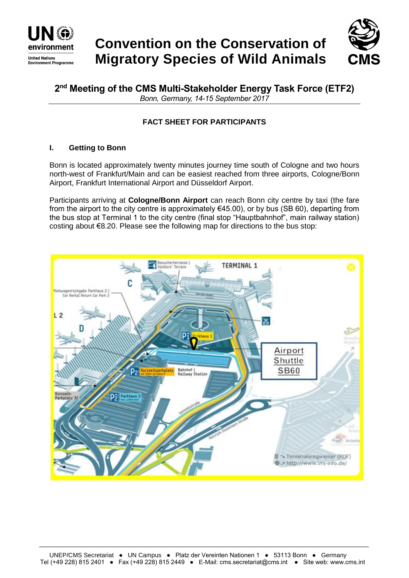

# **Convention on the Conservation of Migratory Species of Wild Animals**



**2 nd Meeting of the CMS Multi-Stakeholder Energy Task Force (ETF2)**  *Bonn, Germany, 14-15 September 2017*

# **FACT SHEET FOR PARTICIPANTS**

## **I. Getting to Bonn**

Bonn is located approximately twenty minutes journey time south of Cologne and two hours north-west of Frankfurt/Main and can be easiest reached from three airports, Cologne/Bonn Airport, Frankfurt International Airport and Düsseldorf Airport.

Participants arriving at **Cologne/Bonn Airport** can reach Bonn city centre by taxi (the fare from the airport to the city centre is approximately  $645.00$ ), or by bus (SB 60), departing from the bus stop at Terminal 1 to the city centre (final stop "Hauptbahnhof", main railway station) costing about €8.20. Please see the following map for directions to the bus stop:



\_\_\_\_\_\_\_\_\_\_\_\_\_\_\_\_\_\_\_\_\_\_\_\_\_\_\_\_\_\_\_\_\_\_\_\_\_\_\_\_\_\_\_\_\_\_\_\_\_\_\_\_\_\_\_\_\_\_\_\_\_\_\_\_\_\_\_\_\_\_\_\_\_\_\_\_\_\_\_\_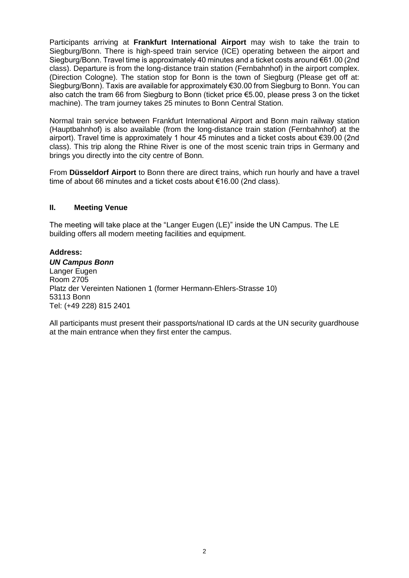Participants arriving at **Frankfurt International Airport** may wish to take the train to Siegburg/Bonn. There is high-speed train service (ICE) operating between the airport and Siegburg/Bonn. Travel time is approximately 40 minutes and a ticket costs around €61.00 (2nd class). Departure is from the long-distance train station (Fernbahnhof) in the airport complex. (Direction Cologne). The station stop for Bonn is the town of Siegburg (Please get off at: Siegburg/Bonn). Taxis are available for approximately €30.00 from Siegburg to Bonn. You can also catch the tram 66 from Siegburg to Bonn (ticket price €5.00, please press 3 on the ticket machine). The tram journey takes 25 minutes to Bonn Central Station.

Normal train service between Frankfurt International Airport and Bonn main railway station (Hauptbahnhof) is also available (from the long-distance train station (Fernbahnhof) at the airport). Travel time is approximately 1 hour 45 minutes and a ticket costs about €39.00 (2nd class). This trip along the Rhine River is one of the most scenic train trips in Germany and brings you directly into the city centre of Bonn.

From **Düsseldorf Airport** to Bonn there are direct trains, which run hourly and have a travel time of about 66 minutes and a ticket costs about €16.00 (2nd class).

#### **II. Meeting Venue**

The meeting will take place at the "Langer Eugen (LE)" inside the UN Campus. The LE building offers all modern meeting facilities and equipment.

#### **Address:**

*UN Campus Bonn* Langer Eugen Room 2705 Platz der Vereinten Nationen 1 (former Hermann-Ehlers-Strasse 10) 53113 Bonn Tel: (+49 228) 815 2401

All participants must present their passports/national ID cards at the UN security guardhouse at the main entrance when they first enter the campus.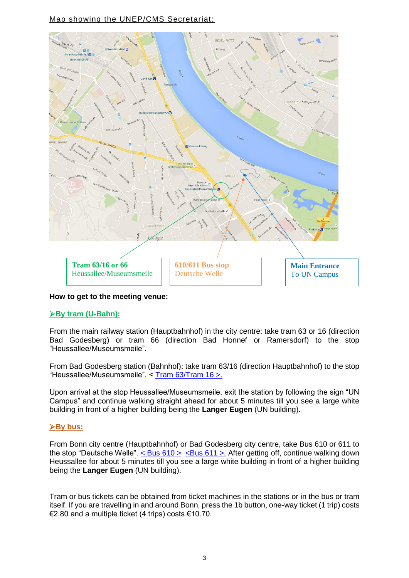# Map showing the UNEP/CMS Secretariat:



#### **How to get to the meeting venue:**

#### **By tram (U-Bahn):**

From the main railway station (Hauptbahnhof) in the city centre: take tram 63 or 16 (direction Bad Godesberg) or tram 66 (direction Bad Honnef or Ramersdorf) to the stop "Heussallee/Museumsmeile".

From Bad Godesberg station (Bahnhof): take tram 63/16 (direction Hauptbahnhof) to the stop "Heussallee/Museumsmeile". < [Tram 63/Tram 16 >.](https://ekapweb.vrsinfo.de/uploads/tx_ekap/linien/mini-fahrplan/2017_63-63.pdf)

Upon arrival at the stop Heussallee/Museumsmeile, exit the station by following the sign "UN Campus" and continue walking straight ahead for about 5 minutes till you see a large white building in front of a higher building being the **Langer Eugen** (UN building).

#### **By bus:**

From Bonn city centre (Hauptbahnhof) or Bad Godesberg city centre, take Bus 610 or 611 to the stop "Deutsche Welle".  $\lt$  Bus 610 >  $\lt$  Bus 611 >. After getting off, continue walking down Heussallee for about 5 minutes till you see a large white building in front of a higher building being the **Langer Eugen** (UN building).

Tram or bus tickets can be obtained from ticket machines in the stations or in the bus or tram itself. If you are travelling in and around Bonn, press the 1b button, one-way ticket (1 trip) costs €2.80 and a multiple ticket (4 trips) costs €10.70.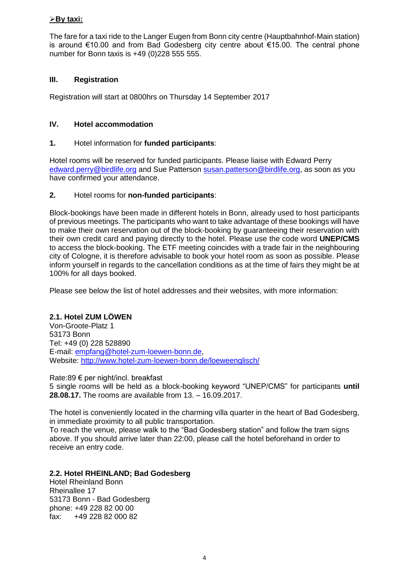## **By taxi:**

The fare for a taxi ride to the Langer Eugen from Bonn city centre (Hauptbahnhof-Main station) is around €10.00 and from Bad Godesberg city centre about €15.00. The central phone number for Bonn taxis is +49 (0)228 555 555.

#### **III. Registration**

Registration will start at 0800hrs on Thursday 14 September 2017

#### **IV. Hotel accommodation**

#### **1.** Hotel information for **funded participants**:

Hotel rooms will be reserved for funded participants. Please liaise with Edward Perry [edward.perry@birdlife.org](mailto:edward.perry@birdlife.org) and Sue Patterson [susan.patterson@birdlife.org,](mailto:susan.patterson@birdlife.org) as soon as you have confirmed your attendance.

#### **2.** Hotel rooms for **non-funded participants**:

Block-bookings have been made in different hotels in Bonn, already used to host participants of previous meetings. The participants who want to take advantage of these bookings will have to make their own reservation out of the block-booking by guaranteeing their reservation with their own credit card and paying directly to the hotel. Please use the code word **UNEP/CMS** to access the block-booking. The ETF meeting coincides with a trade fair in the neighbouring city of Cologne, it is therefore advisable to book your hotel room as soon as possible. Please inform yourself in regards to the cancellation conditions as at the time of fairs they might be at 100% for all days booked.

Please see below the list of hotel addresses and their websites, with more information:

#### **2.1. Hotel ZUM LÖWEN**

Von-Groote-Platz 1 53173 Bonn Tel: +49 (0) 228 528890 E-mail: [empfang@hotel-zum-loewen-bonn.de,](mailto:empfang@hotel-zum-loewen-bonn.de) Website:<http://www.hotel-zum-loewen-bonn.de/loeweenglisch/>

Rate:89 € per night/incl. breakfast 5 single rooms will be held as a block-booking keyword "UNEP/CMS" for participants **until 28.08.17.** The rooms are available from 13. – 16.09.2017.

The hotel is conveniently located in the charming villa quarter in the heart of Bad Godesberg, in immediate proximity to all public transportation.

To reach the venue, please walk to the "Bad Godesberg station" and follow the tram signs above. If you should arrive later than 22:00, please call the hotel beforehand in order to receive an entry code.

#### **2.2. Hotel RHEINLAND; Bad Godesberg**

Hotel Rheinland Bonn Rheinallee 17 53173 Bonn - Bad Godesberg phone: +49 228 82 00 00 fax: +49 228 82 000 82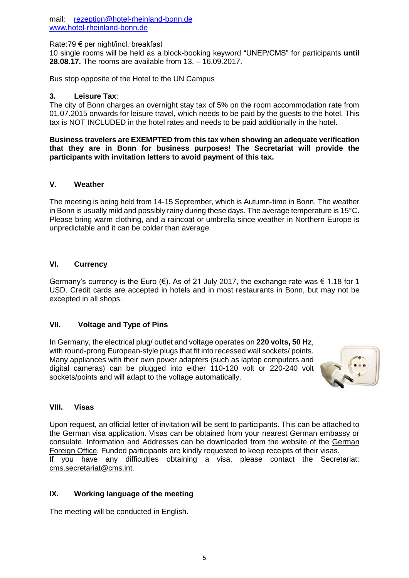mail: [rezeption@hotel-rheinland-bonn.de](mailto:rezeption@hotel-rheinland-bonn.de) [www.hotel-rheinland-bonn.de](http://www.hotel-rheinland-bonn.de/)

Rate:79 € per night/incl. breakfast

10 single rooms will be held as a block-booking keyword "UNEP/CMS" for participants **until 28.08.17.** The rooms are available from 13. – 16.09.2017.

Bus stop opposite of the Hotel to the UN Campus

#### **3. Leisure Tax**:

The city of Bonn charges an overnight stay tax of 5% on the room accommodation rate from 01.07.2015 onwards for leisure travel, which needs to be paid by the guests to the hotel. This tax is NOT INCLUDED in the hotel rates and needs to be paid additionally in the hotel.

**Business travelers are EXEMPTED from this tax when showing an adequate verification that they are in Bonn for business purposes! The Secretariat will provide the participants with invitation letters to avoid payment of this tax.**

## **V. Weather**

The meeting is being held from 14-15 September, which is Autumn-time in Bonn. The weather in Bonn is usually mild and possibly rainy during these days. The average temperature is 15°C. Please bring warm clothing, and a raincoat or umbrella since weather in Northern Europe is unpredictable and it can be colder than average.

#### **VI. Currency**

Germany's currency is the Euro ( $\epsilon$ ). As of 21 July 2017, the exchange rate was  $\epsilon$  1.18 for 1 USD. Credit cards are accepted in hotels and in most restaurants in Bonn, but may not be excepted in all shops.

#### **VII. Voltage and Type of Pins**

In Germany, the electrical plug/ outlet and voltage operates on **220 volts, 50 Hz**, with round-prong European-style plugs that fit into recessed wall sockets/ points. Many appliances with their own power adapters (such as laptop computers and digital cameras) can be plugged into either 110-120 volt or 220-240 volt sockets/points and will adapt to the voltage automatically.



#### **VIII. Visas**

Upon request, an official letter of invitation will be sent to participants. This can be attached to the German visa application. Visas can be obtained from your nearest German embassy or consulate. Information and Addresses can be downloaded from the website of the [German](http://www.auswaertiges-amt.de/EN/EinreiseUndAufenthalt/Visabestimmungen_node.html)  [Foreign Office.](http://www.auswaertiges-amt.de/EN/EinreiseUndAufenthalt/Visabestimmungen_node.html) Funded participants are kindly requested to keep receipts of their visas. If you have any difficulties obtaining a visa, please contact the Secretariat: [cms.secretariat@cms.int.](mailto:cms.secretariat@cms.int)

## **IX. Working language of the meeting**

The meeting will be conducted in English.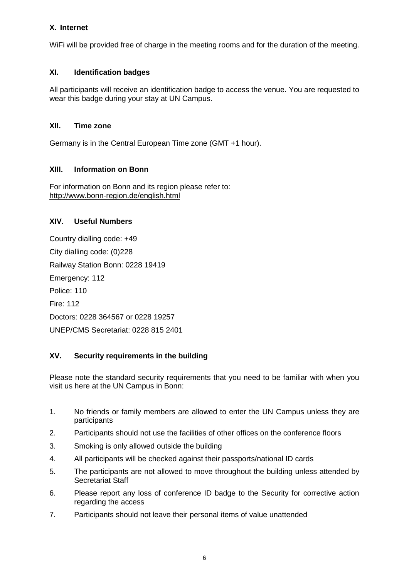# **X. Internet**

WiFi will be provided free of charge in the meeting rooms and for the duration of the meeting.

# **XI. Identification badges**

All participants will receive an identification badge to access the venue. You are requested to wear this badge during your stay at UN Campus.

## **XII. Time zone**

Germany is in the Central European Time zone (GMT +1 hour).

## **XIII. Information on Bonn**

For information on Bonn and its region please refer to: <http://www.bonn-region.de/english.html>

## **XIV. Useful Numbers**

Country dialling code: +49 City dialling code: (0)228 Railway Station Bonn: 0228 19419 Emergency: 112 Police: 110 Fire: 112 Doctors: 0228 364567 or 0228 19257 UNEP/CMS Secretariat: 0228 815 2401

#### **XV. Security requirements in the building**

Please note the standard security requirements that you need to be familiar with when you visit us here at the UN Campus in Bonn:

- 1. No friends or family members are allowed to enter the UN Campus unless they are participants
- 2. Participants should not use the facilities of other offices on the conference floors
- 3. Smoking is only allowed outside the building
- 4. All participants will be checked against their passports/national ID cards
- 5. The participants are not allowed to move throughout the building unless attended by Secretariat Staff
- 6. Please report any loss of conference ID badge to the Security for corrective action regarding the access
- 7. Participants should not leave their personal items of value unattended